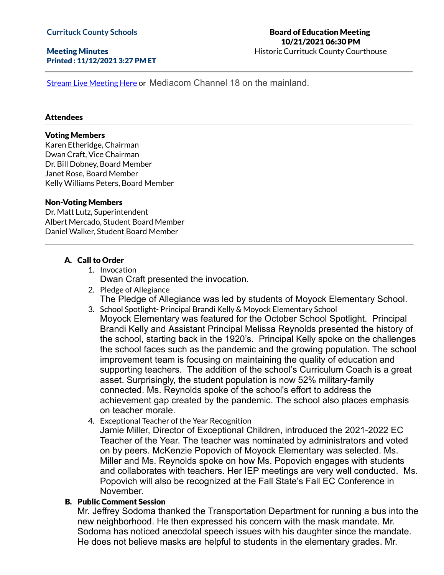### Meeting Minutes Printed : 11/12/2021 3:27 PM ET

### Board of Education Meeting 10/21/2021 06:30 PM Historic Currituck County Courthouse

Stream Live [Meeting](http://currituckcountync.iqm2.com/Citizens/default.aspx) Here or Mediacom Channel 18 on the mainland.

#### **Attendees**

#### Voting Members

Karen Etheridge, Chairman Dwan Craft, Vice Chairman Dr. Bill Dobney, Board Member Janet Rose, Board Member Kelly Williams Peters, Board Member

#### Non-Voting Members

Dr. Matt Lutz, Superintendent Albert Mercado, Student Board Member Daniel Walker, Student Board Member

## A. Call to Order

- 1. Invocation Dwan Craft presented the invocation.
- 2. Pledge of Allegiance The Pledge of Allegiance was led by students of Moyock Elementary School.
- 3. School Spotlight- Principal Brandi Kelly & Moyock Elementary School Moyock Elementary was featured for the October School Spotlight. Principal Brandi Kelly and Assistant Principal Melissa Reynolds presented the history of the school, starting back in the 1920's. Principal Kelly spoke on the challenges the school faces such as the pandemic and the growing population. The school improvement team is focusing on maintaining the quality of education and supporting teachers. The addition of the school's Curriculum Coach is a great asset. Surprisingly, the student population is now 52% military-family connected. Ms. Reynolds spoke of the school's effort to address the achievement gap created by the pandemic. The school also places emphasis on teacher morale.
- 4. Exceptional Teacher of the Year Recognition

Jamie Miller, Director of Exceptional Children, introduced the 2021-2022 EC Teacher of the Year. The teacher was nominated by administrators and voted on by peers. McKenzie Popovich of Moyock Elementary was selected. Ms. Miller and Ms. Reynolds spoke on how Ms. Popovich engages with students and collaborates with teachers. Her IEP meetings are very well conducted. Ms. Popovich will also be recognized at the Fall State's Fall EC Conference in November.

### B. Public Comment Session

Mr. Jeffrey Sodoma thanked the Transportation Department for running a bus into the new neighborhood. He then expressed his concern with the mask mandate. Mr. Sodoma has noticed anecdotal speech issues with his daughter since the mandate. He does not believe masks are helpful to students in the elementary grades. Mr.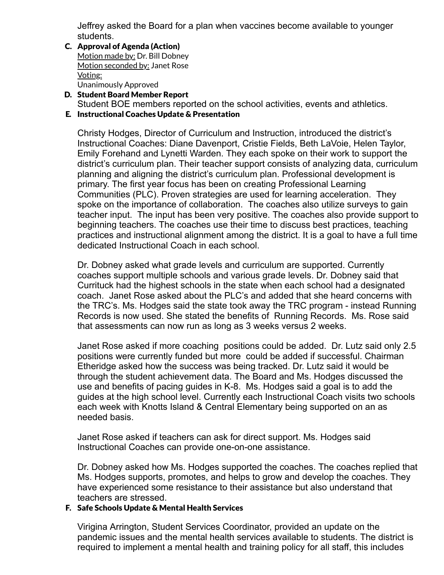Jeffrey asked the Board for a plan when vaccines become available to younger students.

- C. Approval of Agenda (Action) Motion made by: Dr. Bill Dobney Motion seconded by: Janet Rose Voting: Unanimously Approved
- D. Student Board Member Report Student BOE members reported on the school activities, events and athletics.
- E. Instructional Coaches Update & Presentation

Christy Hodges, Director of Curriculum and Instruction, introduced the district's Instructional Coaches: Diane Davenport, Cristie Fields, Beth LaVoie, Helen Taylor, Emily Forehand and Lynetti Warden. They each spoke on their work to support the district's curriculum plan. Their teacher support consists of analyzing data, curriculum planning and aligning the district's curriculum plan. Professional development is primary. The first year focus has been on creating Professional Learning Communities (PLC). Proven strategies are used for learning acceleration. They spoke on the importance of collaboration. The coaches also utilize surveys to gain teacher input. The input has been very positive. The coaches also provide support to beginning teachers. The coaches use their time to discuss best practices, teaching practices and instructional alignment among the district. It is a goal to have a full time dedicated Instructional Coach in each school.

Dr. Dobney asked what grade levels and curriculum are supported. Currently coaches support multiple schools and various grade levels. Dr. Dobney said that Currituck had the highest schools in the state when each school had a designated coach. Janet Rose asked about the PLC's and added that she heard concerns with the TRC's. Ms. Hodges said the state took away the TRC program - instead Running Records is now used. She stated the benefits of Running Records. Ms. Rose said that assessments can now run as long as 3 weeks versus 2 weeks.

Janet Rose asked if more coaching positions could be added. Dr. Lutz said only 2.5 positions were currently funded but more could be added if successful. Chairman Etheridge asked how the success was being tracked. Dr. Lutz said it would be through the student achievement data. The Board and Ms. Hodges discussed the use and benefits of pacing guides in K-8. Ms. Hodges said a goal is to add the guides at the high school level. Currently each Instructional Coach visits two schools each week with Knotts Island & Central Elementary being supported on an as needed basis.

Janet Rose asked if teachers can ask for direct support. Ms. Hodges said Instructional Coaches can provide one-on-one assistance.

Dr. Dobney asked how Ms. Hodges supported the coaches. The coaches replied that Ms. Hodges supports, promotes, and helps to grow and develop the coaches. They have experienced some resistance to their assistance but also understand that teachers are stressed.

# F. Safe Schools Update & Mental Health Services

Virigina Arrington, Student Services Coordinator, provided an update on the pandemic issues and the mental health services available to students. The district is required to implement a mental health and training policy for all staff, this includes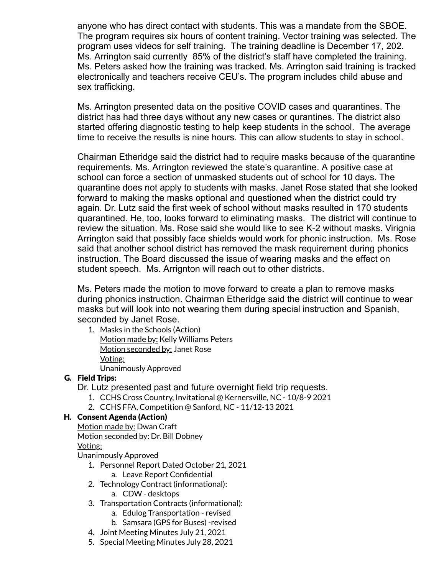anyone who has direct contact with students. This was a mandate from the SBOE. The program requires six hours of content training. Vector training was selected. The program uses videos for self training. The training deadline is December 17, 202. Ms. Arrington said currently 85% of the district's staff have completed the training. Ms. Peters asked how the training was tracked. Ms. Arrington said training is tracked electronically and teachers receive CEU's. The program includes child abuse and sex trafficking.

Ms. Arrington presented data on the positive COVID cases and quarantines. The district has had three days without any new cases or qurantines. The district also started offering diagnostic testing to help keep students in the school. The average time to receive the results is nine hours. This can allow students to stay in school.

Chairman Etheridge said the district had to require masks because of the quarantine requirements. Ms. Arrington reviewed the state's quarantine. A positive case at school can force a section of unmasked students out of school for 10 days. The quarantine does not apply to students with masks. Janet Rose stated that she looked forward to making the masks optional and questioned when the district could try again. Dr. Lutz said the first week of school without masks resulted in 170 students quarantined. He, too, looks forward to eliminating masks. The district will continue to review the situation. Ms. Rose said she would like to see K-2 without masks. Virignia Arrington said that possibly face shields would work for phonic instruction. Ms. Rose said that another school district has removed the mask requirement during phonics instruction. The Board discussed the issue of wearing masks and the effect on student speech. Ms. Arrignton will reach out to other districts.

Ms. Peters made the motion to move forward to create a plan to remove masks during phonics instruction. Chairman Etheridge said the district will continue to wear masks but will look into not wearing them during special instruction and Spanish, seconded by Janet Rose.

1. Masks in the Schools (Action) Motion made by: Kelly Williams Peters Motion seconded by: Janet Rose Voting: Unanimously Approved

# G. Field Trips:

Dr. Lutz presented past and future overnight field trip requests.

- 1. CCHS Cross Country, Invitational @ Kernersville, NC 10/8-9 2021
- 2. CCHS FFA, Competition @ Sanford, NC 11/12-13 2021

# H. Consent Agenda (Action)

Motion made by: Dwan Craft Motion seconded by: Dr. Bill Dobney

Voting:

Unanimously Approved

- 1. Personnel Report Dated October 21, 2021
	- a. Leave Report Confidential
- 2. Technology Contract (informational):
	- a. CDW desktops
- 3. Transportation Contracts (informational):
	- a. Edulog Transportation revised
	- b. Samsara (GPS for Buses) -revised
- 4. Joint Meeting Minutes July 21, 2021
- 5. Special Meeting Minutes July 28, 2021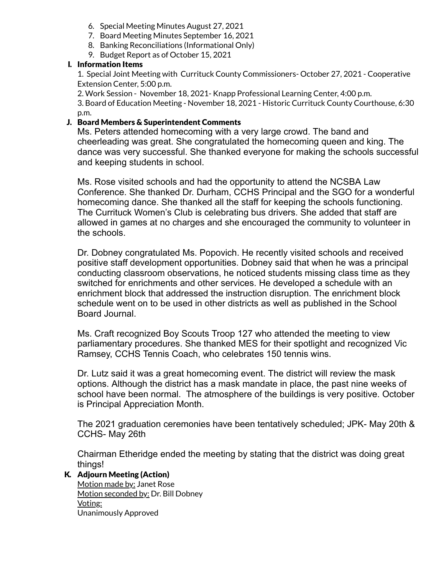- 6. Special Meeting Minutes August 27, 2021
- 7. Board Meeting Minutes September 16, 2021
- 8. Banking Reconciliations (Informational Only)
- 9. Budget Report as of October 15, 2021

# I. Information Items

1. Special Joint Meeting with Currituck County Commissioners- October 27, 2021 - Cooperative Extension Center, 5:00 p.m.

2. Work Session - November 18, 2021- Knapp Professional Learning Center, 4:00 p.m. 3. Board of Education Meeting - November 18, 2021 - Historic Currituck County Courthouse, 6:30 p.m.

# J. Board Members & Superintendent Comments

Ms. Peters attended homecoming with a very large crowd. The band and cheerleading was great. She congratulated the homecoming queen and king. The dance was very successful. She thanked everyone for making the schools successful and keeping students in school.

Ms. Rose visited schools and had the opportunity to attend the NCSBA Law Conference. She thanked Dr. Durham, CCHS Principal and the SGO for a wonderful homecoming dance. She thanked all the staff for keeping the schools functioning. The Currituck Women's Club is celebrating bus drivers. She added that staff are allowed in games at no charges and she encouraged the community to volunteer in the schools.

Dr. Dobney congratulated Ms. Popovich. He recently visited schools and received positive staff development opportunities. Dobney said that when he was a principal conducting classroom observations, he noticed students missing class time as they switched for enrichments and other services. He developed a schedule with an enrichment block that addressed the instruction disruption. The enrichment block schedule went on to be used in other districts as well as published in the School Board Journal.

Ms. Craft recognized Boy Scouts Troop 127 who attended the meeting to view parliamentary procedures. She thanked MES for their spotlight and recognized Vic Ramsey, CCHS Tennis Coach, who celebrates 150 tennis wins.

Dr. Lutz said it was a great homecoming event. The district will review the mask options. Although the district has a mask mandate in place, the past nine weeks of school have been normal. The atmosphere of the buildings is very positive. October is Principal Appreciation Month.

The 2021 graduation ceremonies have been tentatively scheduled; JPK- May 20th & CCHS- May 26th

Chairman Etheridge ended the meeting by stating that the district was doing great things!

# K. Adjourn Meeting (Action)

Motion made by: Janet Rose Motion seconded by: Dr. Bill Dobney Voting: Unanimously Approved